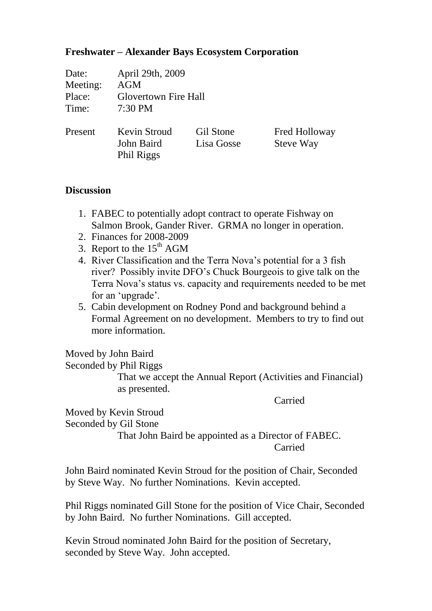## **Freshwater – Alexander Bays Ecosystem Corporation**

| Date:    | April 29th, 2009                                |                         |                                   |
|----------|-------------------------------------------------|-------------------------|-----------------------------------|
| Meeting: | <b>AGM</b>                                      |                         |                                   |
| Place:   | <b>Glovertown Fire Hall</b>                     |                         |                                   |
| Time:    | 7:30 PM                                         |                         |                                   |
| Present  | <b>Kevin Stroud</b><br>John Baird<br>Phil Riggs | Gil Stone<br>Lisa Gosse | Fred Holloway<br><b>Steve Way</b> |

## **Discussion**

- 1. FABEC to potentially adopt contract to operate Fishway on Salmon Brook, Gander River. GRMA no longer in operation.
- 2. Finances for 2008-2009
- 3. Report to the  $15<sup>th</sup> AGM$
- 4. River Classification and the Terra Nova's potential for a 3 fish river? Possibly invite DFO's Chuck Bourgeois to give talk on the Terra Nova's status vs. capacity and requirements needed to be met for an 'upgrade'.
- 5. Cabin development on Rodney Pond and background behind a Formal Agreement on no development. Members to try to find out more information.

Moved by John Baird

Seconded by Phil Riggs

That we accept the Annual Report (Activities and Financial) as presented.

Carried

Moved by Kevin Stroud

Seconded by Gil Stone

That John Baird be appointed as a Director of FABEC. Carried

John Baird nominated Kevin Stroud for the position of Chair, Seconded by Steve Way. No further Nominations. Kevin accepted.

Phil Riggs nominated Gill Stone for the position of Vice Chair, Seconded by John Baird. No further Nominations. Gill accepted.

Kevin Stroud nominated John Baird for the position of Secretary, seconded by Steve Way. John accepted.